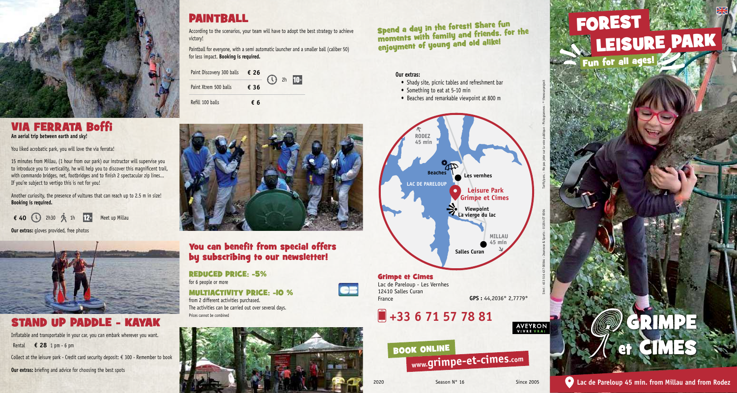

## PAINTBALL

According to the scenarios, your team will have to adopt the best strategy to achieve victory!

Paintball for everyone, with a semi automatic launcher and a smaller ball (caliber 50) for less impact. **Booking is required.**

| Paint Discovery 300 balls $\epsilon$ 26 |      | $\cdot$ 2h $\cdot$ | $10+$ |  |
|-----------------------------------------|------|--------------------|-------|--|
| Paint Xtrem 500 balls                   | € 36 |                    |       |  |
| Refill 100 balls                        | fб   |                    |       |  |

### Via ferrata Boffi **An aerial trip between earth and sky!**

You liked acrobatic park, you will love the via ferrata!

15 minutes from Millau, (1 hour from our park) our instructor will supervise you to introduce you to verticality, he will help you to discover this magnificent trail, with commando bridges, net, footbridges and to finish 2 spectacular zip lines... If you're subject to vertigo this is not for you!

Another curiosity, the presence of vultures that can reach up to 2.5 m in size! **Booking is required.**

**€** 40 (1) 2h30  $\hat{X}$  1h 12<sup>+</sup> Meet up Millau

**Our extras:** gloves provided, free photos



# STAND UP PADDLE - KAYAK

Inflatable and transportable in your car, you can embark wherever you want. Rental **€ 28** 1 pm - 6 pm

Collect at the leisure park - Credit card security deposit:  $\epsilon$  300 - Remember to book

**Our extras:** briefing and advice for choosing the best spots



### You can benefit from special offers by subscribing to our newsletter!

Reduced price: -5% for 6 people or more

Multiactivity price: -10 % from 2 different activities purchased. The activities can be carried out over several days. Prices cannot be combined



Spend a day in the forest! Share fun moments with family and friends, for the enjoyment of young and old alike!

#### **Our extras:**

- Shady site, picnic tables and refreshment bar
- Something to eat at 5-10 min
- Beaches and remarkable viewpoint at 800 m



#### Grimpe et Cimes Lac de Pareloup - Les Vernhes 12410 Salles Curan France **GPS :** 44,2036° 2,7779°

# **+33 6 71 57 78 81**





**AVEYRON**<br>VIVRE VRAI

Tarifs/pers. - Ne pas jeter sur la voie publique - Pictogrammes : © thenounproject

Siret : 453 516 437 00044 - Jeunesse & Sports : 01204 ET 0004

#### **Lac de Pareloup 45 min. from Millau and from Rodez**

 $\sqrt{2}$  et CIMES

GRIMPE

 $(\mathbb{C})$ 

FOREST **West** leisure park Fun for all ages!